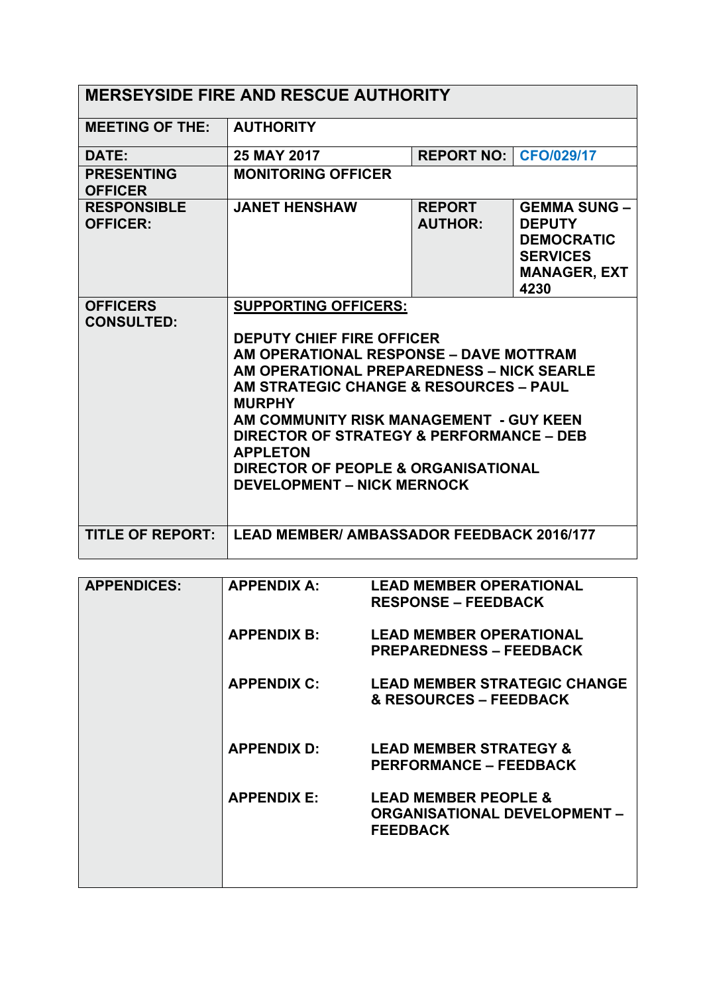| <b>MERSEYSIDE FIRE AND RESCUE AUTHORITY</b> |                                                                                                                                                                                                                                                                                                                                                                                                         |                                 |                                                                                                             |  |  |
|---------------------------------------------|---------------------------------------------------------------------------------------------------------------------------------------------------------------------------------------------------------------------------------------------------------------------------------------------------------------------------------------------------------------------------------------------------------|---------------------------------|-------------------------------------------------------------------------------------------------------------|--|--|
| <b>MEETING OF THE:</b>                      | <b>AUTHORITY</b>                                                                                                                                                                                                                                                                                                                                                                                        |                                 |                                                                                                             |  |  |
| DATE:                                       | 25 MAY 2017                                                                                                                                                                                                                                                                                                                                                                                             | REPORT NO: CFO/029/17           |                                                                                                             |  |  |
| <b>PRESENTING</b><br><b>OFFICER</b>         | <b>MONITORING OFFICER</b>                                                                                                                                                                                                                                                                                                                                                                               |                                 |                                                                                                             |  |  |
| <b>RESPONSIBLE</b><br><b>OFFICER:</b>       | <b>JANET HENSHAW</b>                                                                                                                                                                                                                                                                                                                                                                                    | <b>REPORT</b><br><b>AUTHOR:</b> | <b>GEMMA SUNG -</b><br><b>DEPUTY</b><br><b>DEMOCRATIC</b><br><b>SERVICES</b><br><b>MANAGER, EXT</b><br>4230 |  |  |
| <b>OFFICERS</b><br><b>CONSULTED:</b>        | <b>SUPPORTING OFFICERS:</b><br><b>DEPUTY CHIEF FIRE OFFICER</b><br>AM OPERATIONAL RESPONSE - DAVE MOTTRAM<br>AM OPERATIONAL PREPAREDNESS - NICK SEARLE<br>AM STRATEGIC CHANGE & RESOURCES - PAUL<br><b>MURPHY</b><br>AM COMMUNITY RISK MANAGEMENT - GUY KEEN<br>DIRECTOR OF STRATEGY & PERFORMANCE - DEB<br><b>APPLETON</b><br>DIRECTOR OF PEOPLE & ORGANISATIONAL<br><b>DEVELOPMENT - NICK MERNOCK</b> |                                 |                                                                                                             |  |  |
| <b>TITLE OF REPORT:</b>                     | <b>LEAD MEMBER/ AMBASSADOR FEEDBACK 2016/177</b>                                                                                                                                                                                                                                                                                                                                                        |                                 |                                                                                                             |  |  |

| <b>APPENDICES:</b> | <b>APPENDIX A:</b> | <b>LEAD MEMBER OPERATIONAL</b><br><b>RESPONSE – FEEDBACK</b>                              |
|--------------------|--------------------|-------------------------------------------------------------------------------------------|
|                    | <b>APPENDIX B:</b> | <b>LEAD MEMBER OPERATIONAL</b><br><b>PREPAREDNESS – FEEDBACK</b>                          |
|                    | <b>APPENDIX C:</b> | <b>LEAD MEMBER STRATEGIC CHANGE</b><br>& RESOURCES - FEEDBACK                             |
|                    | <b>APPENDIX D:</b> | <b>LEAD MEMBER STRATEGY &amp;</b><br><b>PERFORMANCE – FEEDBACK</b>                        |
|                    | <b>APPENDIX E:</b> | <b>LEAD MEMBER PEOPLE &amp;</b><br><b>ORGANISATIONAL DEVELOPMENT -</b><br><b>FEEDBACK</b> |
|                    |                    |                                                                                           |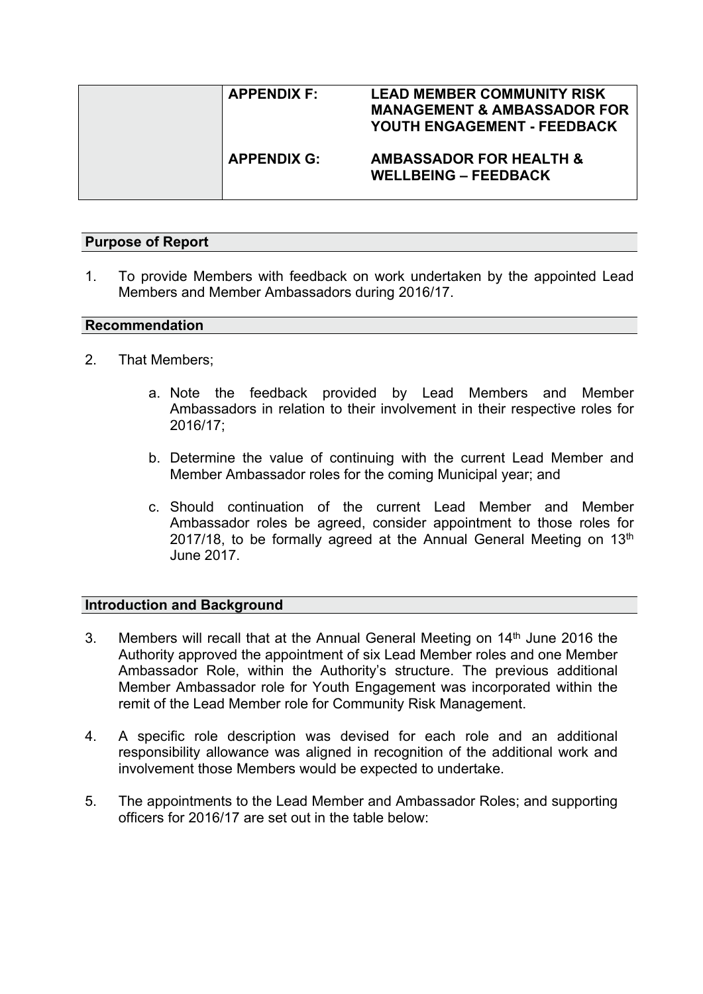| <b>APPENDIX F:</b> | <b>LEAD MEMBER COMMUNITY RISK</b><br><b>MANAGEMENT &amp; AMBASSADOR FOR</b><br>YOUTH ENGAGEMENT - FEEDBACK |
|--------------------|------------------------------------------------------------------------------------------------------------|
| <b>APPENDIX G:</b> | <b>AMBASSADOR FOR HEALTH &amp;</b><br><b>WELLBEING - FEEDBACK</b>                                          |

## **Purpose of Report**

1. To provide Members with feedback on work undertaken by the appointed Lead Members and Member Ambassadors during 2016/17.

#### **Recommendation**

- 2. That Members;
	- a. Note the feedback provided by Lead Members and Member Ambassadors in relation to their involvement in their respective roles for 2016/17;
	- b. Determine the value of continuing with the current Lead Member and Member Ambassador roles for the coming Municipal year; and
	- c. Should continuation of the current Lead Member and Member Ambassador roles be agreed, consider appointment to those roles for 2017/18, to be formally agreed at the Annual General Meeting on  $13<sup>th</sup>$ June 2017.

### **Introduction and Background**

- 3. Members will recall that at the Annual General Meeting on 14<sup>th</sup> June 2016 the Authority approved the appointment of six Lead Member roles and one Member Ambassador Role, within the Authority's structure. The previous additional Member Ambassador role for Youth Engagement was incorporated within the remit of the Lead Member role for Community Risk Management.
- 4. A specific role description was devised for each role and an additional responsibility allowance was aligned in recognition of the additional work and involvement those Members would be expected to undertake.
- 5. The appointments to the Lead Member and Ambassador Roles; and supporting officers for 2016/17 are set out in the table below: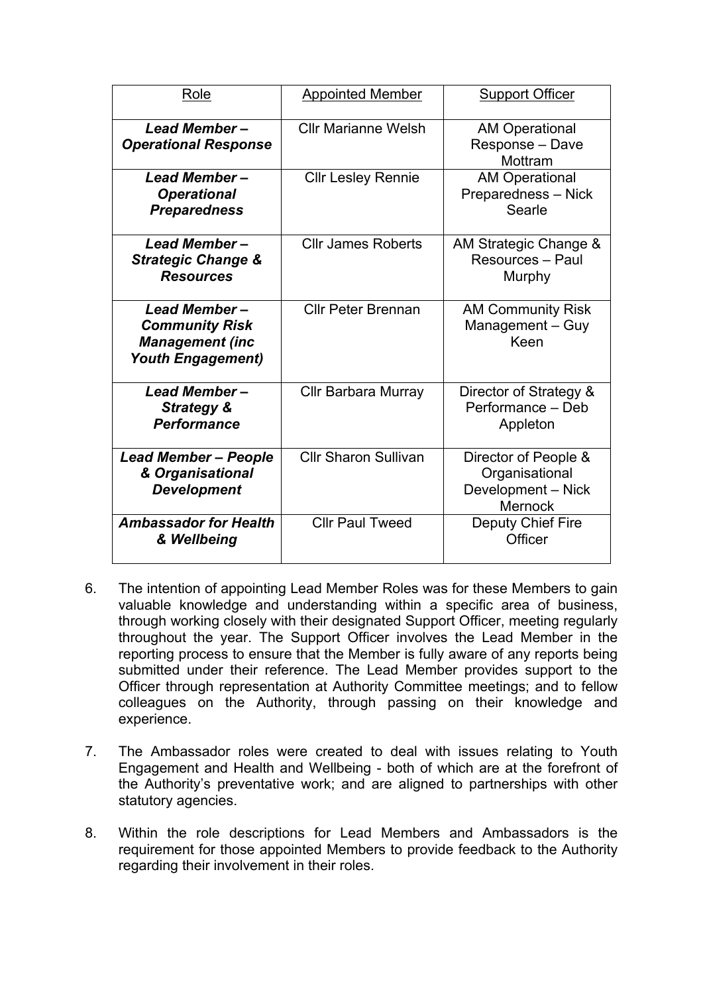| Role                                                                                        | <b>Appointed Member</b>     | <b>Support Officer</b>                                                  |
|---------------------------------------------------------------------------------------------|-----------------------------|-------------------------------------------------------------------------|
| Lead Member-<br><b>Operational Response</b>                                                 | <b>Cllr Marianne Welsh</b>  | <b>AM Operational</b><br>Response - Dave<br>Mottram                     |
| <b>Lead Member-</b><br><b>Operational</b><br><b>Preparedness</b>                            | <b>Cllr Lesley Rennie</b>   | <b>AM Operational</b><br>Preparedness - Nick<br>Searle                  |
| Lead Member-<br><b>Strategic Change &amp;</b><br><b>Resources</b>                           | <b>Cllr James Roberts</b>   | AM Strategic Change &<br>Resources - Paul<br>Murphy                     |
| Lead Member-<br><b>Community Risk</b><br><b>Management (inc</b><br><b>Youth Engagement)</b> | <b>Cllr Peter Brennan</b>   | <b>AM Community Risk</b><br>Management - Guy<br>Keen                    |
| <b>Lead Member-</b><br><b>Strategy &amp;</b><br><b>Performance</b>                          | <b>Cllr Barbara Murray</b>  | Director of Strategy &<br>Performance - Deb<br>Appleton                 |
| <b>Lead Member - People</b><br>& Organisational<br><b>Development</b>                       | <b>Cllr Sharon Sullivan</b> | Director of People &<br>Organisational<br>Development - Nick<br>Mernock |
| <b>Ambassador for Health</b><br>& Wellbeing                                                 | <b>Cllr Paul Tweed</b>      | Deputy Chief Fire<br>Officer                                            |

- 6. The intention of appointing Lead Member Roles was for these Members to gain valuable knowledge and understanding within a specific area of business, through working closely with their designated Support Officer, meeting regularly throughout the year. The Support Officer involves the Lead Member in the reporting process to ensure that the Member is fully aware of any reports being submitted under their reference. The Lead Member provides support to the Officer through representation at Authority Committee meetings; and to fellow colleagues on the Authority, through passing on their knowledge and experience.
- 7. The Ambassador roles were created to deal with issues relating to Youth Engagement and Health and Wellbeing - both of which are at the forefront of the Authority's preventative work; and are aligned to partnerships with other statutory agencies.
- 8. Within the role descriptions for Lead Members and Ambassadors is the requirement for those appointed Members to provide feedback to the Authority regarding their involvement in their roles.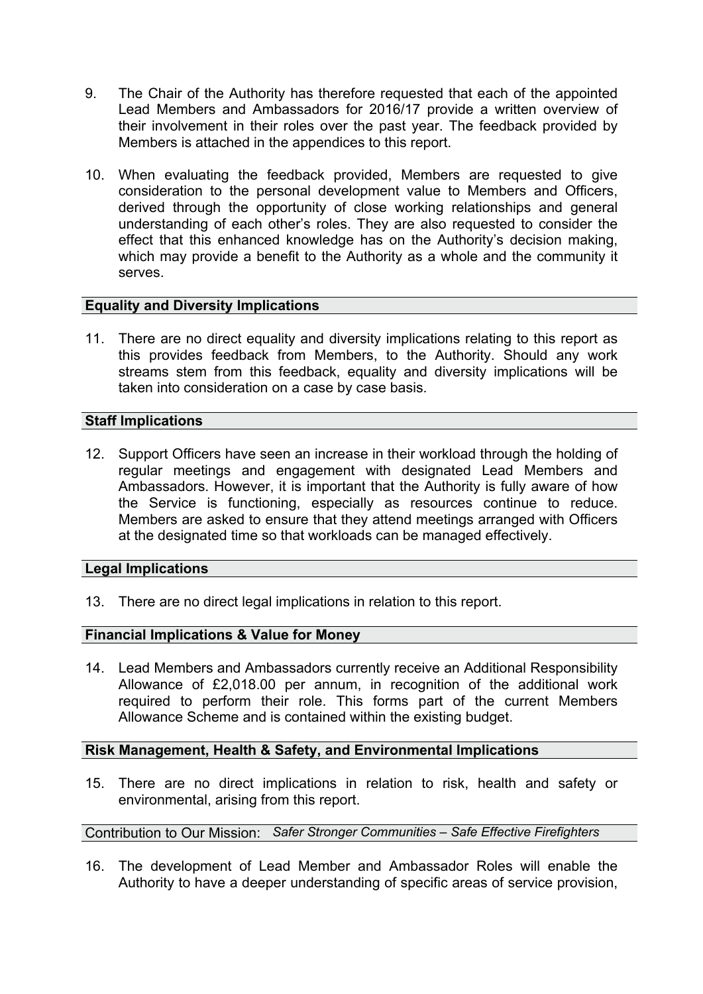- 9. The Chair of the Authority has therefore requested that each of the appointed Lead Members and Ambassadors for 2016/17 provide a written overview of their involvement in their roles over the past year. The feedback provided by Members is attached in the appendices to this report.
- 10. When evaluating the feedback provided, Members are requested to give consideration to the personal development value to Members and Officers, derived through the opportunity of close working relationships and general understanding of each other's roles. They are also requested to consider the effect that this enhanced knowledge has on the Authority's decision making, which may provide a benefit to the Authority as a whole and the community it serves.

## **Equality and Diversity Implications**

11. There are no direct equality and diversity implications relating to this report as this provides feedback from Members, to the Authority. Should any work streams stem from this feedback, equality and diversity implications will be taken into consideration on a case by case basis.

## **Staff Implications**

12. Support Officers have seen an increase in their workload through the holding of regular meetings and engagement with designated Lead Members and Ambassadors. However, it is important that the Authority is fully aware of how the Service is functioning, especially as resources continue to reduce. Members are asked to ensure that they attend meetings arranged with Officers at the designated time so that workloads can be managed effectively.

### **Legal Implications**

13. There are no direct legal implications in relation to this report.

## **Financial Implications & Value for Money**

14. Lead Members and Ambassadors currently receive an Additional Responsibility Allowance of £2,018.00 per annum, in recognition of the additional work required to perform their role. This forms part of the current Members Allowance Scheme and is contained within the existing budget.

### **Risk Management, Health & Safety, and Environmental Implications**

15. There are no direct implications in relation to risk, health and safety or environmental, arising from this report.

# Contribution to Our Mission: *Safer Stronger Communities – Safe Effective Firefighters*

16. The development of Lead Member and Ambassador Roles will enable the Authority to have a deeper understanding of specific areas of service provision,